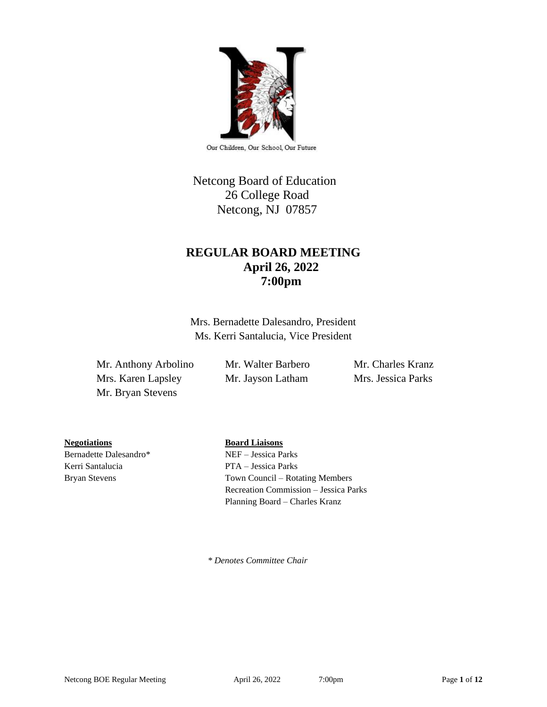

Our Children, Our School, Our Future

# Netcong Board of Education 26 College Road Netcong, NJ 07857

# **REGULAR BOARD MEETING April 26, 2022 7:00pm**

Mrs. Bernadette Dalesandro, President Ms. Kerri Santalucia, Vice President

Mr. Anthony Arbolino Mr. Walter Barbero Mr. Charles Kranz Mrs. Karen Lapsley Mr. Jayson Latham Mrs. Jessica Parks Mr. Bryan Stevens

**Negotiations Board Liaisons**

Bernadette Dalesandro\* NEF – Jessica Parks Kerri Santalucia PTA – Jessica Parks

Bryan Stevens Town Council – Rotating Members Recreation Commission – Jessica Parks Planning Board – Charles Kranz

 *\* Denotes Committee Chair*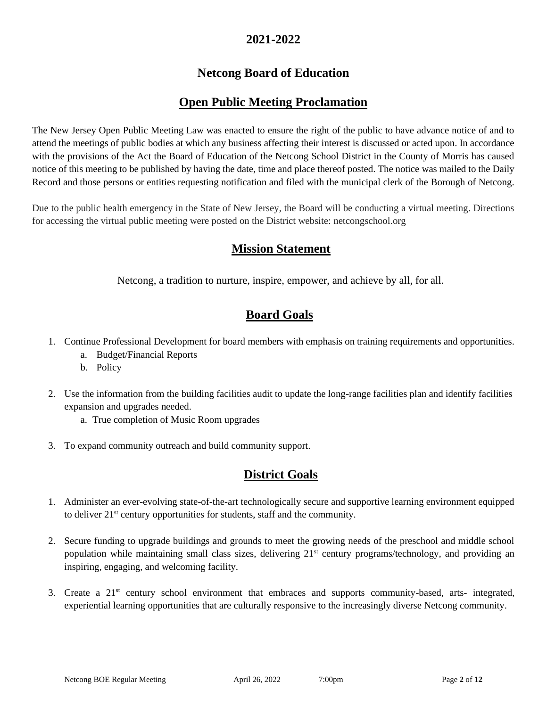## **2021-2022**

# **Netcong Board of Education**

# **Open Public Meeting Proclamation**

The New Jersey Open Public Meeting Law was enacted to ensure the right of the public to have advance notice of and to attend the meetings of public bodies at which any business affecting their interest is discussed or acted upon. In accordance with the provisions of the Act the Board of Education of the Netcong School District in the County of Morris has caused notice of this meeting to be published by having the date, time and place thereof posted. The notice was mailed to the Daily Record and those persons or entities requesting notification and filed with the municipal clerk of the Borough of Netcong.

Due to the public health emergency in the State of New Jersey, the Board will be conducting a virtual meeting. Directions for accessing the virtual public meeting were posted on the District website: netcongschool.org

## **Mission Statement**

Netcong, a tradition to nurture, inspire, empower, and achieve by all, for all.

## **Board Goals**

- 1. Continue Professional Development for board members with emphasis on training requirements and opportunities.
	- a. Budget/Financial Reports
	- b. Policy
- 2. Use the information from the building facilities audit to update the long-range facilities plan and identify facilities expansion and upgrades needed.
	- a. True completion of Music Room upgrades
- 3. To expand community outreach and build community support.

# **District Goals**

- 1. Administer an ever-evolving state-of-the-art technologically secure and supportive learning environment equipped to deliver 21st century opportunities for students, staff and the community.
- 2. Secure funding to upgrade buildings and grounds to meet the growing needs of the preschool and middle school population while maintaining small class sizes, delivering 21<sup>st</sup> century programs/technology, and providing an inspiring, engaging, and welcoming facility.
- 3. Create a 21st century school environment that embraces and supports community-based, arts- integrated, experiential learning opportunities that are culturally responsive to the increasingly diverse Netcong community.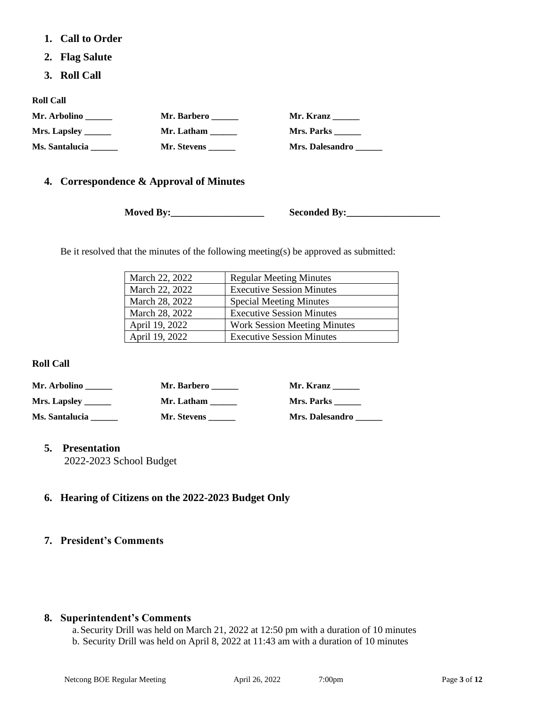- **1. Call to Order**
- **2. Flag Salute**
- **3. Roll Call**

**Roll Call**

| Mr. Arbolino   | Mr. Barbero | Mr. Kranz              |
|----------------|-------------|------------------------|
|                | Mr. Latham  | Mrs. Parks             |
| Ms. Santalucia | Mr. Stevens | <b>Mrs. Dalesandro</b> |

### **4. Correspondence & Approval of Minutes**

**Moved By:\_\_\_\_\_\_\_\_\_\_\_\_\_\_\_\_\_\_\_ Seconded By:\_\_\_\_\_\_\_\_\_\_\_\_\_\_\_\_\_\_\_**

Be it resolved that the minutes of the following meeting(s) be approved as submitted:

| March 22, 2022 | <b>Regular Meeting Minutes</b>      |
|----------------|-------------------------------------|
| March 22, 2022 | <b>Executive Session Minutes</b>    |
| March 28, 2022 | <b>Special Meeting Minutes</b>      |
| March 28, 2022 | <b>Executive Session Minutes</b>    |
| April 19, 2022 | <b>Work Session Meeting Minutes</b> |
| April 19, 2022 | <b>Executive Session Minutes</b>    |

### **Roll Call**

| Mr. Arbolino   | Mr. Barbero | Mr. Kranz              |
|----------------|-------------|------------------------|
|                | Mr. Latham  | Mrs. Parks             |
| Ms. Santalucia | Mr. Stevens | <b>Mrs. Dalesandro</b> |

### **5. Presentation**

2022-2023 School Budget

## **6. Hearing of Citizens on the 2022-2023 Budget Only**

#### **7. President's Comments**

#### **8. Superintendent's Comments**

a.Security Drill was held on March 21, 2022 at 12:50 pm with a duration of 10 minutes b. Security Drill was held on April 8, 2022 at 11:43 am with a duration of 10 minutes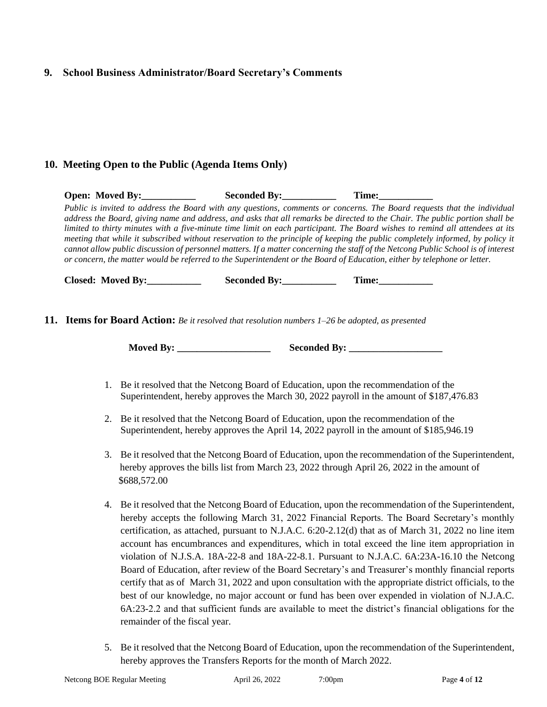### **9. School Business Administrator/Board Secretary's Comments**

### **10. Meeting Open to the Public (Agenda Items Only)**

**Open: Moved By:\_\_\_\_\_\_\_\_\_\_\_ Seconded By:\_\_\_\_\_\_\_\_\_\_\_ Time:\_\_\_\_\_\_\_\_\_\_\_** *Public is invited to address the Board with any questions, comments or concerns. The Board requests that the individual address the Board, giving name and address, and asks that all remarks be directed to the Chair. The public portion shall be limited to thirty minutes with a five-minute time limit on each participant. The Board wishes to remind all attendees at its meeting that while it subscribed without reservation to the principle of keeping the public completely informed, by policy it cannot allow public discussion of personnel matters. If a matter concerning the staff of the Netcong Public School is of interest or concern, the matter would be referred to the Superintendent or the Board of Education, either by telephone or letter.*

 **Closed:** Moved By: Seconded By: Time:

**11. Items for Board Action:** *Be it resolved that resolution numbers 1–26 be adopted, as presented*

- 1. Be it resolved that the Netcong Board of Education, upon the recommendation of the Superintendent, hereby approves the March 30, 2022 payroll in the amount of \$187,476.83
- 2. Be it resolved that the Netcong Board of Education, upon the recommendation of the Superintendent, hereby approves the April 14, 2022 payroll in the amount of \$185,946.19
- 3. Be it resolved that the Netcong Board of Education, upon the recommendation of the Superintendent, hereby approves the bills list from March 23, 2022 through April 26, 2022 in the amount of \$688,572.00
- 4. Be it resolved that the Netcong Board of Education, upon the recommendation of the Superintendent, hereby accepts the following March 31, 2022 Financial Reports. The Board Secretary's monthly certification, as attached, pursuant to N.J.A.C. 6:20-2.12(d) that as of March 31, 2022 no line item account has encumbrances and expenditures, which in total exceed the line item appropriation in violation of N.J.S.A. 18A-22-8 and 18A-22-8.1. Pursuant to N.J.A.C. 6A:23A-16.10 the Netcong Board of Education, after review of the Board Secretary's and Treasurer's monthly financial reports certify that as of March 31, 2022 and upon consultation with the appropriate district officials, to the best of our knowledge, no major account or fund has been over expended in violation of N.J.A.C. 6A:23-2.2 and that sufficient funds are available to meet the district's financial obligations for the remainder of the fiscal year.
- 5. Be it resolved that the Netcong Board of Education, upon the recommendation of the Superintendent, hereby approves the Transfers Reports for the month of March 2022.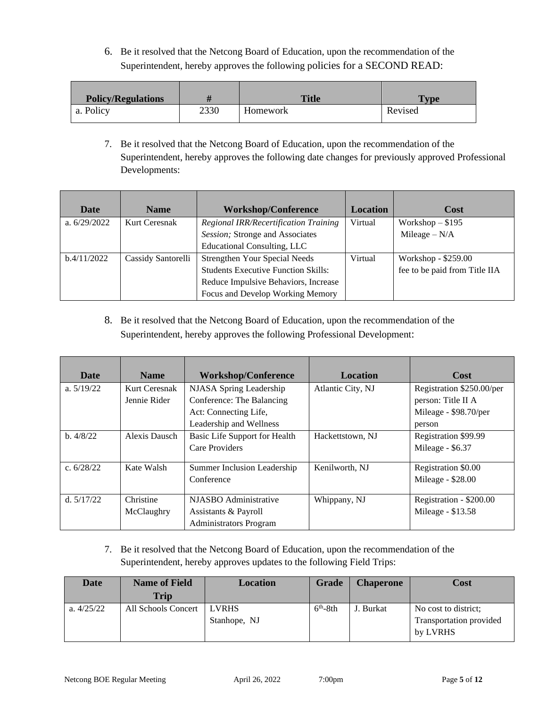6. Be it resolved that the Netcong Board of Education, upon the recommendation of the Superintendent, hereby approves the following policies for a SECOND READ:

| <b>Policy/Regulations</b> |      | <b>Title</b> | $T$ vpe |
|---------------------------|------|--------------|---------|
| a. Policy                 | 2330 | Homework     | Revised |

7. Be it resolved that the Netcong Board of Education, upon the recommendation of the Superintendent, hereby approves the following date changes for previously approved Professional Developments:

| <b>Date</b>    | <b>Workshop/Conference</b><br><b>Name</b> |                                              |         |                               | <b>Location</b> | Cost |
|----------------|-------------------------------------------|----------------------------------------------|---------|-------------------------------|-----------------|------|
| a. $6/29/2022$ | <b>Kurt Ceresnak</b>                      | <b>Regional IRR/Recertification Training</b> | Virtual | Workshop $-$ \$195            |                 |      |
|                |                                           | Session; Stronge and Associates              |         | Mileage $-N/A$                |                 |      |
|                |                                           | Educational Consulting, LLC                  |         |                               |                 |      |
| b.4/11/2022    | Cassidy Santorelli                        | <b>Strengthen Your Special Needs</b>         | Virtual | Workshop - \$259.00           |                 |      |
|                |                                           | <b>Students Executive Function Skills:</b>   |         | fee to be paid from Title IIA |                 |      |
|                |                                           | Reduce Impulsive Behaviors, Increase         |         |                               |                 |      |
|                |                                           | Focus and Develop Working Memory             |         |                               |                 |      |

8. Be it resolved that the Netcong Board of Education, upon the recommendation of the Superintendent, hereby approves the following Professional Development:

| <b>Date</b>  | <b>Name</b>   | <b>Workshop/Conference</b>    | <b>Location</b>   | Cost                      |
|--------------|---------------|-------------------------------|-------------------|---------------------------|
| a. $5/19/22$ | Kurt Ceresnak | NJASA Spring Leadership       | Atlantic City, NJ | Registration \$250.00/per |
|              | Jennie Rider  | Conference: The Balancing     |                   | person: Title II A        |
|              |               | Act: Connecting Life,         |                   | Mileage - \$98.70/per     |
|              |               | Leadership and Wellness       |                   | person                    |
| b.4/8/22     | Alexis Dausch | Basic Life Support for Health | Hackettstown, NJ  | Registration \$99.99      |
|              |               | Care Providers                |                   | Mileage - \$6.37          |
| c. $6/28/22$ | Kate Walsh    | Summer Inclusion Leadership   | Kenilworth, NJ    | Registration \$0.00       |
|              |               | Conference                    |                   | Mileage - \$28.00         |
| d. $5/17/22$ | Christine     | NJASBO Administrative         | Whippany, NJ      | Registration - \$200.00   |
|              | McClaughry    | Assistants & Payroll          |                   | Mileage - \$13.58         |
|              |               | <b>Administrators Program</b> |                   |                           |

7. Be it resolved that the Netcong Board of Education, upon the recommendation of the Superintendent, hereby approves updates to the following Field Trips:

| Date         | <b>Name of Field</b> | Location                     | Grade     | <b>Chaperone</b> | Cost                                            |
|--------------|----------------------|------------------------------|-----------|------------------|-------------------------------------------------|
|              | <b>Trip</b>          |                              |           |                  |                                                 |
| a. $4/25/22$ | All Schools Concert  | <b>LVRHS</b><br>Stanhope, NJ | $6th-8th$ | J. Burkat        | No cost to district;<br>Transportation provided |
|              |                      |                              |           |                  | by LVRHS                                        |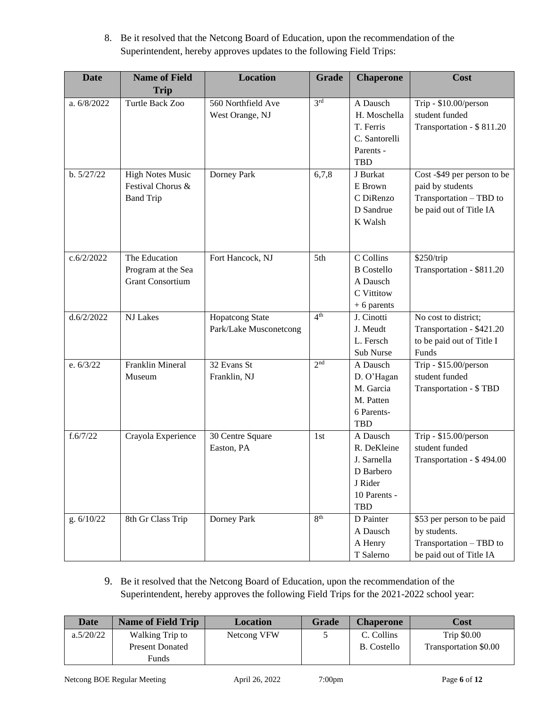| <b>Date</b> | <b>Name of Field</b>                                             | <b>Location</b>                                  | <b>Grade</b>    | <b>Chaperone</b>                                                                             | Cost                                                                                                  |
|-------------|------------------------------------------------------------------|--------------------------------------------------|-----------------|----------------------------------------------------------------------------------------------|-------------------------------------------------------------------------------------------------------|
|             | <b>Trip</b>                                                      |                                                  |                 |                                                                                              |                                                                                                       |
| a. 6/8/2022 | Turtle Back Zoo                                                  | 560 Northfield Ave<br>West Orange, NJ            | 3 <sup>rd</sup> | A Dausch<br>H. Moschella<br>T. Ferris<br>C. Santorelli<br>Parents -<br><b>TBD</b>            | Trip - \$10.00/person<br>student funded<br>Transportation - \$811.20                                  |
| b. 5/27/22  | <b>High Notes Music</b><br>Festival Chorus &<br><b>Band Trip</b> | Dorney Park                                      | 6,7,8           | J Burkat<br>E Brown<br>C DiRenzo<br>D Sandrue<br>K Walsh                                     | Cost -\$49 per person to be<br>paid by students<br>Transportation - TBD to<br>be paid out of Title IA |
| c.6/2/2022  | The Education<br>Program at the Sea<br><b>Grant Consortium</b>   | Fort Hancock, NJ                                 | 5th             | C Collins<br><b>B</b> Costello<br>A Dausch<br>C Vittitow<br>$+ 6$ parents                    | \$250/trip<br>Transportation - \$811.20                                                               |
| d.6/2/2022  | NJ Lakes                                                         | <b>Hopatcong State</b><br>Park/Lake Musconetcong | 4 <sup>th</sup> | J. Cinotti<br>J. Meudt<br>L. Fersch<br>Sub Nurse                                             | No cost to district:<br>Transportation - \$421.20<br>to be paid out of Title I<br>Funds               |
| e. $6/3/22$ | Franklin Mineral<br>Museum                                       | 32 Evans St<br>Franklin, NJ                      | 2 <sup>nd</sup> | A Dausch<br>D. O'Hagan<br>M. Garcia<br>M. Patten<br>6 Parents-<br><b>TBD</b>                 | Trip - \$15.00/person<br>student funded<br>Transportation - \$TBD                                     |
| f.6/7/22    | Crayola Experience                                               | 30 Centre Square<br>Easton, PA                   | 1st             | A Dausch<br>R. DeKleine<br>J. Sarnella<br>D Barbero<br>J Rider<br>10 Parents -<br><b>TBD</b> | Trip - \$15.00/person<br>student funded<br>Transportation - \$494.00                                  |
| g. 6/10/22  | 8th Gr Class Trip                                                | Dorney Park                                      | 8 <sup>th</sup> | D Painter<br>A Dausch<br>A Henry<br>T Salerno                                                | \$53 per person to be paid<br>by students.<br>Transportation - TBD to<br>be paid out of Title IA      |

8. Be it resolved that the Netcong Board of Education, upon the recommendation of the Superintendent, hereby approves updates to the following Field Trips:

9. Be it resolved that the Netcong Board of Education, upon the recommendation of the Superintendent, hereby approves the following Field Trips for the 2021-2022 school year:

| Date      | <b>Name of Field Trip</b> | <b>Location</b> | <b>Grade</b> | <b>Chaperone</b>   | Cost                  |
|-----------|---------------------------|-----------------|--------------|--------------------|-----------------------|
| a.5/20/22 | Walking Trip to           | Netcong VFW     |              | C. Collins         | Trip \$0.00           |
|           | <b>Present Donated</b>    |                 |              | <b>B.</b> Costello | Transportation \$0.00 |
|           | Funds                     |                 |              |                    |                       |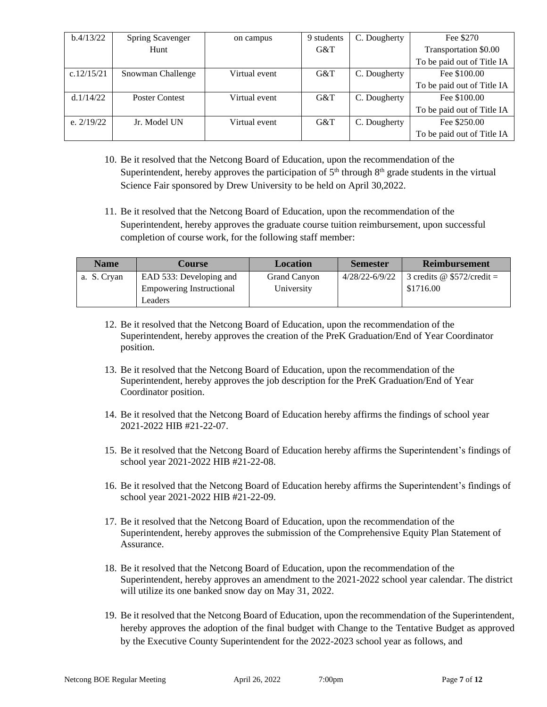| b.4/13/22    | Spring Scavenger      | on campus     | 9 students | C. Dougherty | Fee \$270                  |
|--------------|-----------------------|---------------|------------|--------------|----------------------------|
|              | Hunt                  |               | G&T        |              | Transportation \$0.00      |
|              |                       |               |            |              | To be paid out of Title IA |
| c.12/15/21   | Snowman Challenge     | Virtual event | G&T        | C. Dougherty | Fee \$100.00               |
|              |                       |               |            |              | To be paid out of Title IA |
| d.1/14/22    | <b>Poster Contest</b> | Virtual event | G&T        | C. Dougherty | Fee \$100.00               |
|              |                       |               |            |              | To be paid out of Title IA |
| e. $2/19/22$ | Jr. Model UN          | Virtual event | G&T        | C. Dougherty | Fee \$250.00               |
|              |                       |               |            |              | To be paid out of Title IA |

- 10. Be it resolved that the Netcong Board of Education, upon the recommendation of the Superintendent, hereby approves the participation of  $5<sup>th</sup>$  through  $8<sup>th</sup>$  grade students in the virtual Science Fair sponsored by Drew University to be held on April 30,2022.
- 11. Be it resolved that the Netcong Board of Education, upon the recommendation of the Superintendent, hereby approves the graduate course tuition reimbursement, upon successful completion of course work, for the following staff member:

| <b>Name</b> | Course                          | <b>Location</b> | <b>Semester</b> | <b>Reimbursement</b>              |
|-------------|---------------------------------|-----------------|-----------------|-----------------------------------|
| a. S. Cryan | EAD 533: Developing and         | Grand Canyon    | 4/28/22-6/9/22  | 3 credits $\omega$ \$572/credit = |
|             | <b>Empowering Instructional</b> | University      |                 | \$1716.00                         |
|             | Leaders                         |                 |                 |                                   |

- 12. Be it resolved that the Netcong Board of Education, upon the recommendation of the Superintendent, hereby approves the creation of the PreK Graduation/End of Year Coordinator position.
- 13. Be it resolved that the Netcong Board of Education, upon the recommendation of the Superintendent, hereby approves the job description for the PreK Graduation/End of Year Coordinator position.
- 14. Be it resolved that the Netcong Board of Education hereby affirms the findings of school year 2021-2022 HIB #21-22-07.
- 15. Be it resolved that the Netcong Board of Education hereby affirms the Superintendent's findings of school year 2021-2022 HIB #21-22-08.
- 16. Be it resolved that the Netcong Board of Education hereby affirms the Superintendent's findings of school year 2021-2022 HIB #21-22-09.
- 17. Be it resolved that the Netcong Board of Education, upon the recommendation of the Superintendent, hereby approves the submission of the Comprehensive Equity Plan Statement of Assurance.
- 18. Be it resolved that the Netcong Board of Education, upon the recommendation of the Superintendent, hereby approves an amendment to the 2021-2022 school year calendar. The district will utilize its one banked snow day on May 31, 2022.
- 19. Be it resolved that the Netcong Board of Education, upon the recommendation of the Superintendent, hereby approves the adoption of the final budget with Change to the Tentative Budget as approved by the Executive County Superintendent for the 2022-2023 school year as follows, and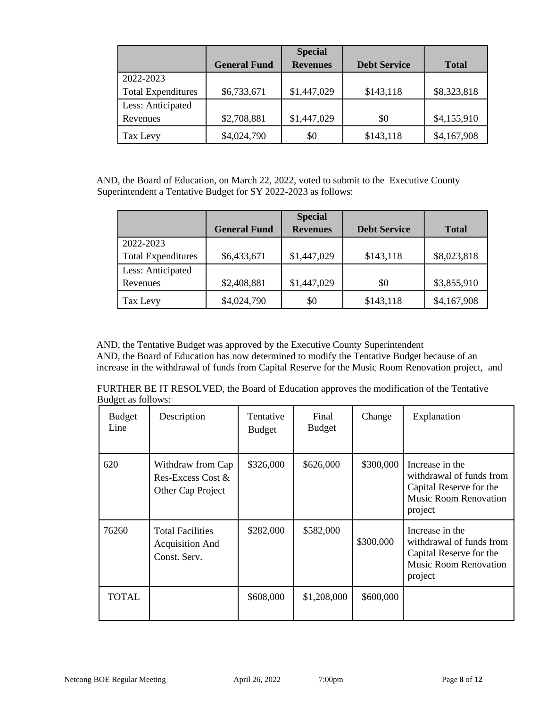|                           |                     | <b>Special</b>  |                     |              |
|---------------------------|---------------------|-----------------|---------------------|--------------|
|                           | <b>General Fund</b> | <b>Revenues</b> | <b>Debt Service</b> | <b>Total</b> |
| 2022-2023                 |                     |                 |                     |              |
| <b>Total Expenditures</b> | \$6,733,671         | \$1,447,029     | \$143,118           | \$8,323,818  |
| Less: Anticipated         |                     |                 |                     |              |
| Revenues                  | \$2,708,881         | \$1,447,029     | \$0                 | \$4,155,910  |
| Tax Levy                  | \$4,024,790         | \$0             | \$143,118           | \$4,167,908  |

AND, the Board of Education, on March 22, 2022, voted to submit to the Executive County Superintendent a Tentative Budget for SY 2022-2023 as follows:

|                           |                     | <b>Special</b>  |                     |              |
|---------------------------|---------------------|-----------------|---------------------|--------------|
|                           | <b>General Fund</b> | <b>Revenues</b> | <b>Debt Service</b> | <b>Total</b> |
| 2022-2023                 |                     |                 |                     |              |
| <b>Total Expenditures</b> | \$6,433,671         | \$1,447,029     | \$143,118           | \$8,023,818  |
| Less: Anticipated         |                     |                 |                     |              |
| Revenues                  | \$2,408,881         | \$1,447,029     | \$0                 | \$3,855,910  |
| Tax Levy                  | \$4,024,790         | \$0             | \$143,118           | \$4,167,908  |

AND, the Tentative Budget was approved by the Executive County Superintendent AND, the Board of Education has now determined to modify the Tentative Budget because of an increase in the withdrawal of funds from Capital Reserve for the Music Room Renovation project, and

FURTHER BE IT RESOLVED, the Board of Education approves the modification of the Tentative Budget as follows:

| <b>Budget</b><br>Line | Description                                                       | Tentative<br><b>Budget</b> | Final<br><b>Budget</b> | Change    | Explanation                                                                                                       |
|-----------------------|-------------------------------------------------------------------|----------------------------|------------------------|-----------|-------------------------------------------------------------------------------------------------------------------|
| 620                   | Withdraw from Cap<br>Res-Excess Cost $\&$<br>Other Cap Project    | \$326,000                  | \$626,000              | \$300,000 | Increase in the<br>withdrawal of funds from<br>Capital Reserve for the<br><b>Music Room Renovation</b><br>project |
| 76260                 | <b>Total Facilities</b><br><b>Acquisition And</b><br>Const. Serv. | \$282,000                  | \$582,000              | \$300,000 | Increase in the<br>withdrawal of funds from<br>Capital Reserve for the<br><b>Music Room Renovation</b><br>project |
| <b>TOTAL</b>          |                                                                   | \$608,000                  | \$1,208,000            | \$600,000 |                                                                                                                   |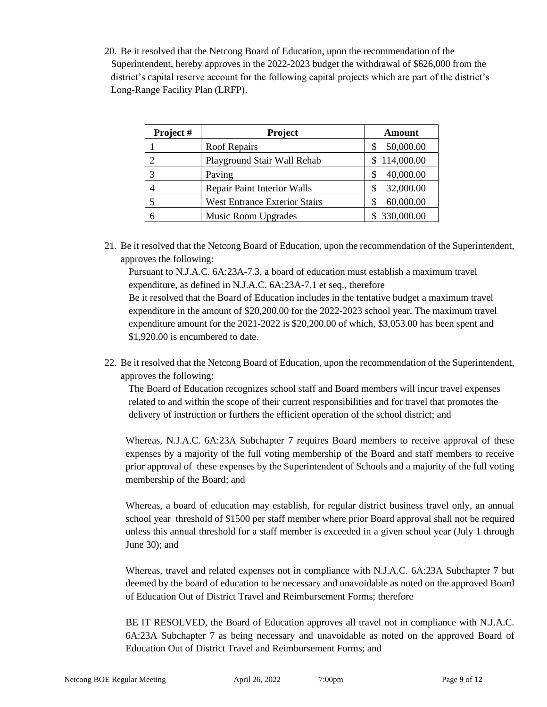20. Be it resolved that the Netcong Board of Education, upon the recommendation of the Superintendent, hereby approves in the 2022-2023 budget the withdrawal of \$626,000 from the district's capital reserve account for the following capital projects which are part of the district's Long-Range Facility Plan (LRFP).

| Project # | <b>Project</b>                       | Amount       |
|-----------|--------------------------------------|--------------|
|           | <b>Roof Repairs</b>                  | 50,000.00    |
|           | Playground Stair Wall Rehab          | \$114,000.00 |
|           | Paving                               | 40,000.00    |
|           | <b>Repair Paint Interior Walls</b>   | 32,000.00    |
|           | <b>West Entrance Exterior Stairs</b> | 60,000.00    |
|           | <b>Music Room Upgrades</b>           | \$330,000.00 |

21. Be it resolved that the Netcong Board of Education, upon the recommendation of the Superintendent, approves the following:

Pursuant to N.J.A.C. 6A:23A-7.3, a board of education must establish a maximum travel expenditure, as defined in N.J.A.C. 6A:23A-7.1 et seq., therefore Be it resolved that the Board of Education includes in the tentative budget a maximum travel expenditure in the amount of \$20,200.00 for the 2022-2023 school year. The maximum travel expenditure amount for the 2021-2022 is \$20,200.00 of which, \$3,053.00 has been spent and \$1,920.00 is encumbered to date.

22. Be it resolved that the Netcong Board of Education, upon the recommendation of the Superintendent, approves the following:

The Board of Education recognizes school staff and Board members will incur travel expenses related to and within the scope of their current responsibilities and for travel that promotes the delivery of instruction or furthers the efficient operation of the school district; and

Whereas, N.J.A.C. 6A:23A Subchapter 7 requires Board members to receive approval of these expenses by a majority of the full voting membership of the Board and staff members to receive prior approval of these expenses by the Superintendent of Schools and a majority of the full voting membership of the Board; and

Whereas, a board of education may establish, for regular district business travel only, an annual school year threshold of \$1500 per staff member where prior Board approval shall not be required unless this annual threshold for a staff member is exceeded in a given school year (July 1 through June 30); and

Whereas, travel and related expenses not in compliance with N.J.A.C. 6A:23A Subchapter 7 but deemed by the board of education to be necessary and unavoidable as noted on the approved Board of Education Out of District Travel and Reimbursement Forms; therefore

BE IT RESOLVED, the Board of Education approves all travel not in compliance with N.J.A.C. 6A:23A Subchapter 7 as being necessary and unavoidable as noted on the approved Board of Education Out of District Travel and Reimbursement Forms; and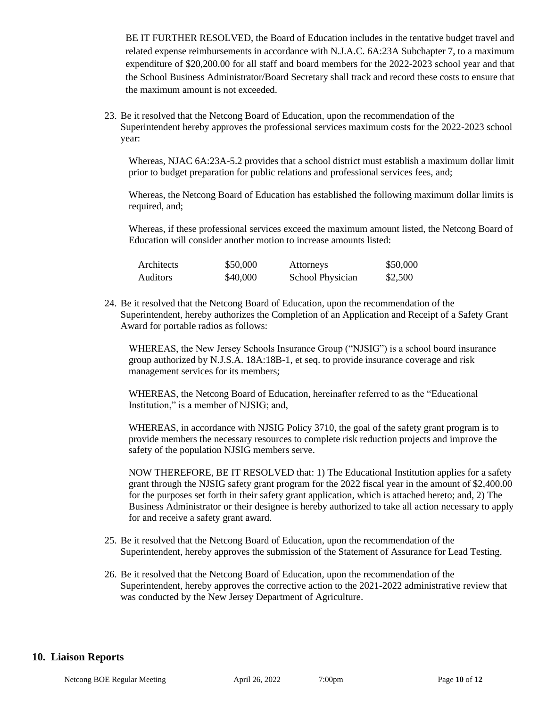BE IT FURTHER RESOLVED, the Board of Education includes in the tentative budget travel and related expense reimbursements in accordance with N.J.A.C. 6A:23A Subchapter 7, to a maximum expenditure of \$20,200.00 for all staff and board members for the 2022-2023 school year and that the School Business Administrator/Board Secretary shall track and record these costs to ensure that the maximum amount is not exceeded.

23. Be it resolved that the Netcong Board of Education, upon the recommendation of the Superintendent hereby approves the professional services maximum costs for the 2022-2023 school year:

 Whereas, NJAC 6A:23A-5.2 provides that a school district must establish a maximum dollar limit prior to budget preparation for public relations and professional services fees, and;

 Whereas, the Netcong Board of Education has established the following maximum dollar limits is required, and;

Whereas, if these professional services exceed the maximum amount listed, the Netcong Board of Education will consider another motion to increase amounts listed:

| Architects | \$50,000 | Attorneys        | \$50,000 |
|------------|----------|------------------|----------|
| Auditors   | \$40,000 | School Physician | \$2,500  |

24. Be it resolved that the Netcong Board of Education, upon the recommendation of the Superintendent, hereby authorizes the Completion of an Application and Receipt of a Safety Grant Award for portable radios as follows:

WHEREAS, the New Jersey Schools Insurance Group ("NJSIG") is a school board insurance group authorized by N.J.S.A. 18A:18B-1, et seq. to provide insurance coverage and risk management services for its members;

WHEREAS, the Netcong Board of Education, hereinafter referred to as the "Educational Institution," is a member of NJSIG; and,

WHEREAS, in accordance with NJSIG Policy 3710, the goal of the safety grant program is to provide members the necessary resources to complete risk reduction projects and improve the safety of the population NJSIG members serve.

NOW THEREFORE, BE IT RESOLVED that: 1) The Educational Institution applies for a safety grant through the NJSIG safety grant program for the 2022 fiscal year in the amount of \$2,400.00 for the purposes set forth in their safety grant application, which is attached hereto; and, 2) The Business Administrator or their designee is hereby authorized to take all action necessary to apply for and receive a safety grant award.

- 25. Be it resolved that the Netcong Board of Education, upon the recommendation of the Superintendent, hereby approves the submission of the Statement of Assurance for Lead Testing.
- 26. Be it resolved that the Netcong Board of Education, upon the recommendation of the Superintendent, hereby approves the corrective action to the 2021-2022 administrative review that was conducted by the New Jersey Department of Agriculture.

#### **10. Liaison Reports**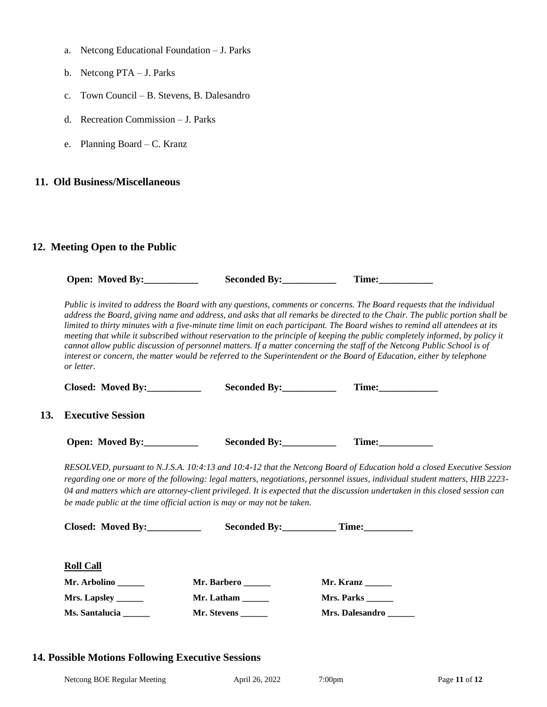- a. Netcong Educational Foundation J. Parks
- b. Netcong PTA J. Parks
- c. Town Council B. Stevens, B. Dalesandro
- d. Recreation Commission J. Parks
- e. Planning Board C. Kranz

### **11. Old Business/Miscellaneous**

## **12. Meeting Open to the Public**

|     | Open: Moved By:               |                                                                        | Time:                                                                                                                                                                                                                                                                                                                                                                                                                                                                                                                                                                                                                                                                                                                                                                         |
|-----|-------------------------------|------------------------------------------------------------------------|-------------------------------------------------------------------------------------------------------------------------------------------------------------------------------------------------------------------------------------------------------------------------------------------------------------------------------------------------------------------------------------------------------------------------------------------------------------------------------------------------------------------------------------------------------------------------------------------------------------------------------------------------------------------------------------------------------------------------------------------------------------------------------|
|     | or letter.                    |                                                                        | Public is invited to address the Board with any questions, comments or concerns. The Board requests that the individual<br>address the Board, giving name and address, and asks that all remarks be directed to the Chair. The public portion shall be<br>limited to thirty minutes with a five-minute time limit on each participant. The Board wishes to remind all attendees at its<br>meeting that while it subscribed without reservation to the principle of keeping the public completely informed, by policy it<br>cannot allow public discussion of personnel matters. If a matter concerning the staff of the Netcong Public School is of<br>interest or concern, the matter would be referred to the Superintendent or the Board of Education, either by telephone |
|     | Closed: Moved By:____________ | Seconded By:____________                                               |                                                                                                                                                                                                                                                                                                                                                                                                                                                                                                                                                                                                                                                                                                                                                                               |
| 13. | <b>Executive Session</b>      |                                                                        |                                                                                                                                                                                                                                                                                                                                                                                                                                                                                                                                                                                                                                                                                                                                                                               |
|     | Open: Moved By:___________    | Seconded By:                                                           | Time:                                                                                                                                                                                                                                                                                                                                                                                                                                                                                                                                                                                                                                                                                                                                                                         |
|     |                               | be made public at the time official action is may or may not be taken. | RESOLVED, pursuant to N.J.S.A. 10:4:13 and 10:4-12 that the Netcong Board of Education hold a closed Executive Session<br>regarding one or more of the following: legal matters, negotiations, personnel issues, individual student matters, HIB 2223-<br>04 and matters which are attorney-client privileged. It is expected that the discussion undertaken in this closed session can                                                                                                                                                                                                                                                                                                                                                                                       |
|     | Closed: Moved By:____________ |                                                                        | Seconded By: Time:                                                                                                                                                                                                                                                                                                                                                                                                                                                                                                                                                                                                                                                                                                                                                            |
|     | <b>Roll Call</b>              |                                                                        |                                                                                                                                                                                                                                                                                                                                                                                                                                                                                                                                                                                                                                                                                                                                                                               |
|     | Mr. Arbolino                  | Mr. Barbero                                                            | Mr. Kranz                                                                                                                                                                                                                                                                                                                                                                                                                                                                                                                                                                                                                                                                                                                                                                     |
|     | Mrs. Lapsley                  | Mr. Latham                                                             | Mrs. Parks                                                                                                                                                                                                                                                                                                                                                                                                                                                                                                                                                                                                                                                                                                                                                                    |
|     | Ms. Santalucia ______         | Mr. Stevens                                                            | Mrs. Dalesandro                                                                                                                                                                                                                                                                                                                                                                                                                                                                                                                                                                                                                                                                                                                                                               |

### **14. Possible Motions Following Executive Sessions**